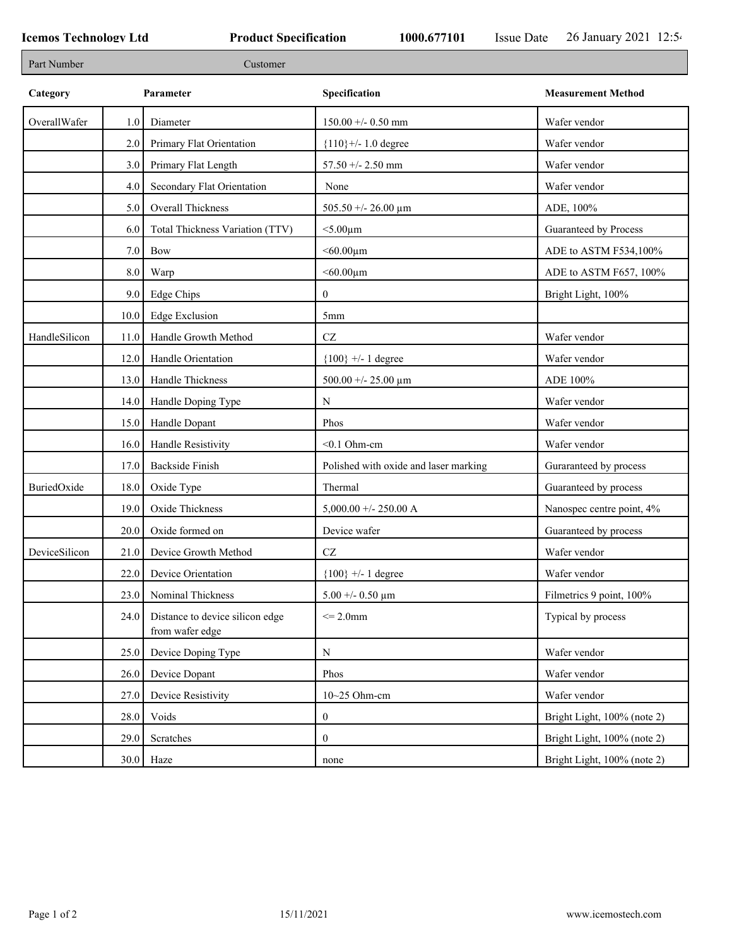| Part Number   |      | Customer                                           |                                       |                             |
|---------------|------|----------------------------------------------------|---------------------------------------|-----------------------------|
| Category      |      | Parameter                                          | Specification                         | <b>Measurement Method</b>   |
| OverallWafer  | 1.0  | Diameter                                           | $150.00 + - 0.50$ mm                  | Wafer vendor                |
|               | 2.0  | Primary Flat Orientation                           | ${110}$ +/- 1.0 degree                | Wafer vendor                |
|               | 3.0  | Primary Flat Length                                | $57.50 + - 2.50$ mm                   | Wafer vendor                |
|               | 4.0  | Secondary Flat Orientation                         | None                                  | Wafer vendor                |
|               | 5.0  | Overall Thickness                                  | 505.50 +/- 26.00 $\mu$ m              | ADE, 100%                   |
|               | 6.0  | Total Thickness Variation (TTV)                    | $<$ 5.00 $\mu$ m                      | Guaranteed by Process       |
|               | 7.0  | Bow                                                | $<$ 60.00 $\mu$ m                     | ADE to ASTM F534,100%       |
|               | 8.0  | Warp                                               | $<$ 60.00 $\mu$ m                     | ADE to ASTM F657, 100%      |
|               | 9.0  | Edge Chips                                         | $\overline{0}$                        | Bright Light, 100%          |
|               | 10.0 | <b>Edge Exclusion</b>                              | 5 <sub>mm</sub>                       |                             |
| HandleSilicon | 11.0 | Handle Growth Method                               | CZ                                    | Wafer vendor                |
|               | 12.0 | Handle Orientation                                 | ${100}$ +/- 1 degree                  | Wafer vendor                |
|               | 13.0 | Handle Thickness                                   | 500.00 +/- 25.00 $\mu$ m              | ADE 100%                    |
|               | 14.0 | Handle Doping Type                                 | N                                     | Wafer vendor                |
|               | 15.0 | Handle Dopant                                      | Phos                                  | Wafer vendor                |
|               | 16.0 | Handle Resistivity                                 | $<$ 0.1 Ohm-cm                        | Wafer vendor                |
|               | 17.0 | <b>Backside Finish</b>                             | Polished with oxide and laser marking | Guraranteed by process      |
| BuriedOxide   | 18.0 | Oxide Type                                         | Thermal                               | Guaranteed by process       |
|               | 19.0 | Oxide Thickness                                    | 5,000.00 +/- 250.00 A                 | Nanospec centre point, 4%   |
|               | 20.0 | Oxide formed on                                    | Device wafer                          | Guaranteed by process       |
| DeviceSilicon | 21.0 | Device Growth Method                               | $\operatorname{CZ}$                   | Wafer vendor                |
|               | 22.0 | Device Orientation                                 | ${100}$ +/- 1 degree                  | Wafer vendor                |
|               | 23.0 | Nominal Thickness                                  | $5.00 + -0.50 \mu m$                  | Filmetrics 9 point, 100%    |
|               | 24.0 | Distance to device silicon edge<br>from wafer edge | $\leq$ 2.0mm                          | Typical by process          |
|               | 25.0 | Device Doping Type                                 | N                                     | Wafer vendor                |
|               | 26.0 | Device Dopant                                      | Phos                                  | Wafer vendor                |
|               | 27.0 | Device Resistivity                                 | 10~25 Ohm-cm                          | Wafer vendor                |
|               | 28.0 | Voids                                              | $\boldsymbol{0}$                      | Bright Light, 100% (note 2) |
|               | 29.0 | Scratches                                          | $\boldsymbol{0}$                      | Bright Light, 100% (note 2) |
|               |      | $30.0$ Haze                                        | none                                  | Bright Light, 100% (note 2) |